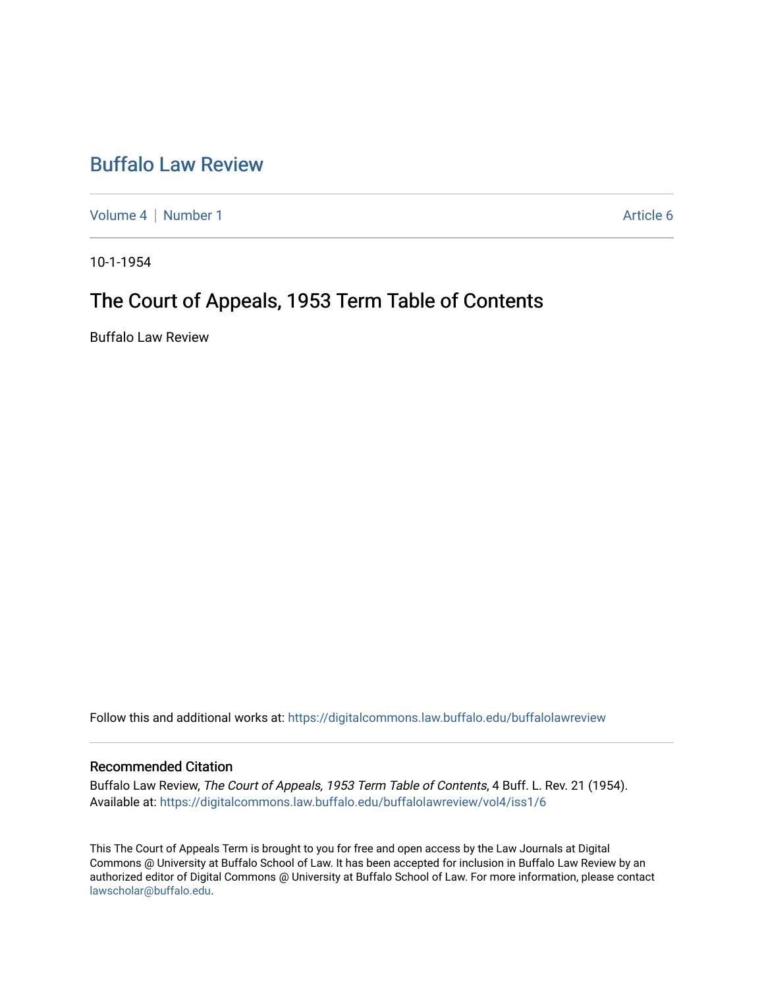### [Buffalo Law Review](https://digitalcommons.law.buffalo.edu/buffalolawreview)

[Volume 4](https://digitalcommons.law.buffalo.edu/buffalolawreview/vol4) | [Number 1](https://digitalcommons.law.buffalo.edu/buffalolawreview/vol4/iss1) Article 6

10-1-1954

## The Court of Appeals, 1953 Term Table of Contents

Buffalo Law Review

Follow this and additional works at: [https://digitalcommons.law.buffalo.edu/buffalolawreview](https://digitalcommons.law.buffalo.edu/buffalolawreview?utm_source=digitalcommons.law.buffalo.edu%2Fbuffalolawreview%2Fvol4%2Fiss1%2F6&utm_medium=PDF&utm_campaign=PDFCoverPages) 

#### Recommended Citation

Buffalo Law Review, The Court of Appeals, 1953 Term Table of Contents, 4 Buff. L. Rev. 21 (1954). Available at: [https://digitalcommons.law.buffalo.edu/buffalolawreview/vol4/iss1/6](https://digitalcommons.law.buffalo.edu/buffalolawreview/vol4/iss1/6?utm_source=digitalcommons.law.buffalo.edu%2Fbuffalolawreview%2Fvol4%2Fiss1%2F6&utm_medium=PDF&utm_campaign=PDFCoverPages) 

This The Court of Appeals Term is brought to you for free and open access by the Law Journals at Digital Commons @ University at Buffalo School of Law. It has been accepted for inclusion in Buffalo Law Review by an authorized editor of Digital Commons @ University at Buffalo School of Law. For more information, please contact [lawscholar@buffalo.edu](mailto:lawscholar@buffalo.edu).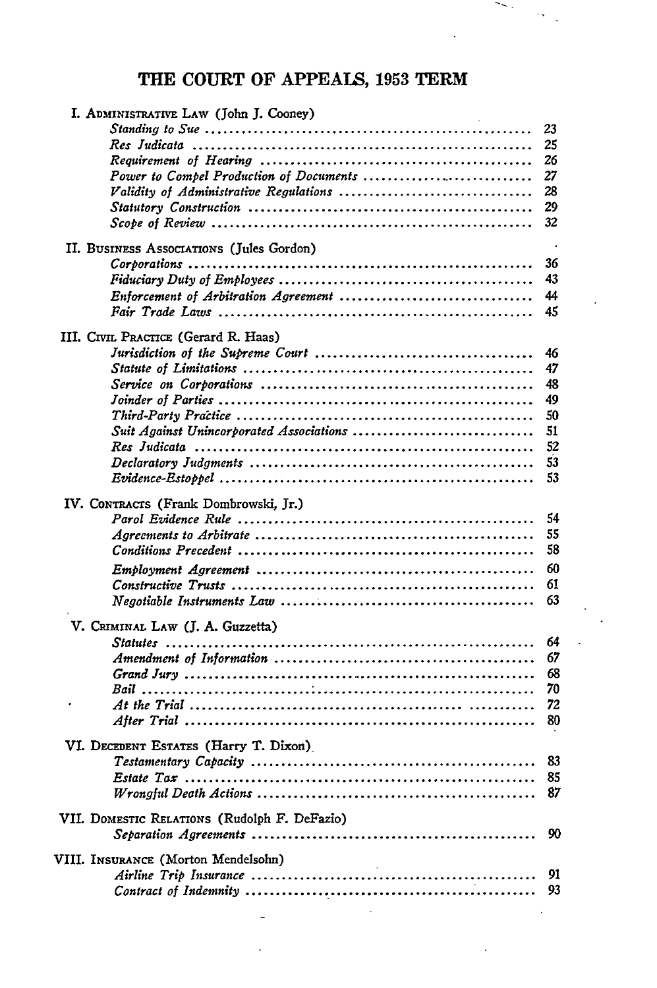### THE **COURT** OF **APPEAIS, 1953** TERM

 $\sim$  .

| I. ADMINISTRATIVE LAW (John J. Cooney)       |          |
|----------------------------------------------|----------|
|                                              | 23       |
|                                              | 25       |
|                                              | 26       |
| Power to Compel Production of Documents      | 27       |
|                                              | 28       |
|                                              | 29       |
|                                              | 32       |
| II. BUSINESS ASSOCIATIONS (Jules Gordon)     |          |
|                                              | 36       |
|                                              | 43       |
|                                              | 44       |
|                                              | 45       |
|                                              |          |
| III. CIVIL PRACTICE (Gerard R. Haas)         |          |
|                                              | 46<br>47 |
|                                              | 48       |
|                                              | 49       |
|                                              | 50       |
| Suit Against Unincorporated Associations     | 51       |
|                                              | 52       |
|                                              | 53       |
|                                              | 53       |
|                                              |          |
| IV. CONTRACTS (Frank Dombrowski, Jr.)        | 54       |
|                                              | 55       |
|                                              | 58       |
|                                              | 60       |
|                                              | 61       |
|                                              | 63       |
|                                              |          |
| V. CRIMINAL LAW (J. A. Guzzetta)             |          |
|                                              | 64       |
|                                              | 67       |
|                                              | 68       |
|                                              | 70       |
|                                              | 72       |
|                                              | 80       |
| VI. DECEDENT ESTATES (Harry T. Dixon)        |          |
|                                              | 83       |
|                                              | 85       |
|                                              | 87       |
|                                              |          |
| VII. DOMESTIC RELATIONS (Rudolph F. DeFazio) | 90       |
|                                              |          |
| VIII. INSURANCE (Morton Mendelsohn)          |          |
|                                              | 91       |
|                                              | 93       |
|                                              |          |